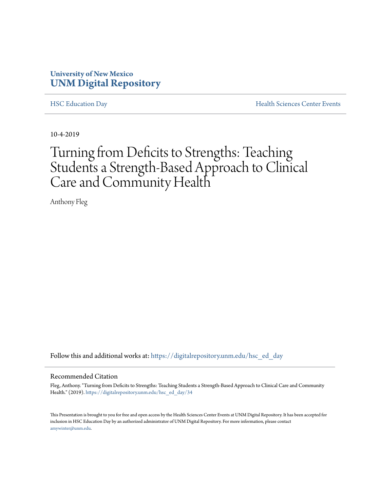### **University of New Mexico [UNM Digital Repository](https://digitalrepository.unm.edu/?utm_source=digitalrepository.unm.edu%2Fhsc_ed_day%2F34&utm_medium=PDF&utm_campaign=PDFCoverPages)**

[HSC Education Day](https://digitalrepository.unm.edu/hsc_ed_day?utm_source=digitalrepository.unm.edu%2Fhsc_ed_day%2F34&utm_medium=PDF&utm_campaign=PDFCoverPages) [Health Sciences Center Events](https://digitalrepository.unm.edu/hsc_events?utm_source=digitalrepository.unm.edu%2Fhsc_ed_day%2F34&utm_medium=PDF&utm_campaign=PDFCoverPages)

10-4-2019

# Turning from Deficits to Strengths: Teaching Students a Strength-Based Approach to Clinical Care and Community Health

Anthony Fleg

Follow this and additional works at: [https://digitalrepository.unm.edu/hsc\\_ed\\_day](https://digitalrepository.unm.edu/hsc_ed_day?utm_source=digitalrepository.unm.edu%2Fhsc_ed_day%2F34&utm_medium=PDF&utm_campaign=PDFCoverPages)

#### Recommended Citation

Fleg, Anthony. "Turning from Deficits to Strengths: Teaching Students a Strength-Based Approach to Clinical Care and Community Health." (2019). [https://digitalrepository.unm.edu/hsc\\_ed\\_day/34](https://digitalrepository.unm.edu/hsc_ed_day/34?utm_source=digitalrepository.unm.edu%2Fhsc_ed_day%2F34&utm_medium=PDF&utm_campaign=PDFCoverPages)

This Presentation is brought to you for free and open access by the Health Sciences Center Events at UNM Digital Repository. It has been accepted for inclusion in HSC Education Day by an authorized administrator of UNM Digital Repository. For more information, please contact [amywinter@unm.edu](mailto:amywinter@unm.edu).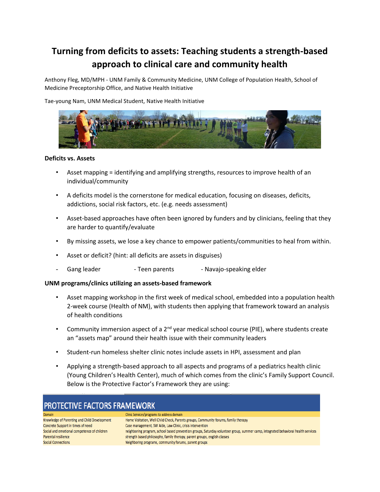## **Turning from deficits to assets: Teaching students a strength-based approach to clinical care and community health**

Anthony Fleg, MD/MPH - UNM Family & Community Medicine, UNM College of Population Health, School of Medicine Preceptorship Office, and Native Health Initiative

Tae-young Nam, UNM Medical Student, Native Health Initiative



#### **Deficits vs. Assets**

- Asset mapping = identifying and amplifying strengths, resources to improve health of an individual/community
- A deficits model is the cornerstone for medical education, focusing on diseases, deficits, addictions, social risk factors, etc. (e.g. needs assessment)
- Asset-based approaches have often been ignored by funders and by clinicians, feeling that they are harder to quantify/evaluate
- By missing assets, we lose a key chance to empower patients/communities to heal from within.
- Asset or deficit? (hint: all deficits are assets in disguises)
- Gang leader Teen parents Navajo-speaking elder

#### **UNM programs/clinics utilizing an assets-based framework**

- Asset mapping workshop in the first week of medical school, embedded into a population health 2-week course (Health of NM), with students then applying that framework toward an analysis of health conditions
- Community immersion aspect of a  $2^{nd}$  year medical school course (PIE), where students create an "assets map" around their health issue with their community leaders
- Student-run homeless shelter clinic notes include assets in HPI, assessment and plan
- Applying a strength-based approach to all aspects and programs of a pediatrics health clinic (Young Children's Health Center), much of which comes from the clinic's Family Support Council. Below is the Protective Factor's Framework they are using:

| <b>PROTECTIVE FACTORS FRAMEWORK</b>          |                                                                                                                                   |
|----------------------------------------------|-----------------------------------------------------------------------------------------------------------------------------------|
| Domain                                       | Clinic Services/programs to address domain                                                                                        |
| Knowledge of Parenting and Child Development | Home Visitation, Well Child Check, Parents groups, Community forums, family therapy                                               |
| Concrete Support in times of need            | Case management, SW Aide, Law Clinic, crisis intervention                                                                         |
| Social and emotional competence of children  | neighboring program, school based prevention groups, Saturday volunteer group, summer camp, integrated behavioral health services |
| Parental resilience                          | strength based philosophy, family therapy, parent groups, english classes                                                         |
| <b>Social Connections</b>                    | Neighboring programs, community forums, parent groups                                                                             |
|                                              |                                                                                                                                   |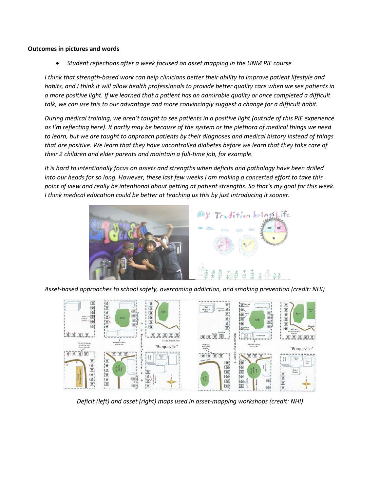#### **Outcomes in pictures and words**

*Student reflections after a week focused on asset mapping in the UNM PIE course*

*I think that strength-based work can help clinicians better their ability to improve patient lifestyle and habits, and I think it will allow health professionals to provide better quality care when we see patients in a more positive light. If we learned that a patient has an admirable quality or once completed a difficult talk, we can use this to our advantage and more convincingly suggest a change for a difficult habit.* 

*During medical training, we aren't taught to see patients in a positive light (outside of this PIE experience as I'm reflecting here). It partly may be because of the system or the plethora of medical things we need to learn, but we are taught to approach patients by their diagnoses and medical history instead of things that are positive. We learn that they have uncontrolled diabetes before we learn that they take care of their 2 children and elder parents and maintain a full-time job, for example.*

*It is hard to intentionally focus on assets and strengths when deficits and pathology have been drilled into our heads for so long. However, these last few weeks I am making a concerted effort to take this point of view and really be intentional about getting at patient strengths. So that's my goal for this week. I think medical education could be better at teaching us this by just introducing it sooner.*



*Asset-based approaches to school safety, overcoming addiction, and smoking prevention (credit: NHI)*



*Deficit (left) and asset (right) maps used in asset-mapping workshops (credit: NHI)*